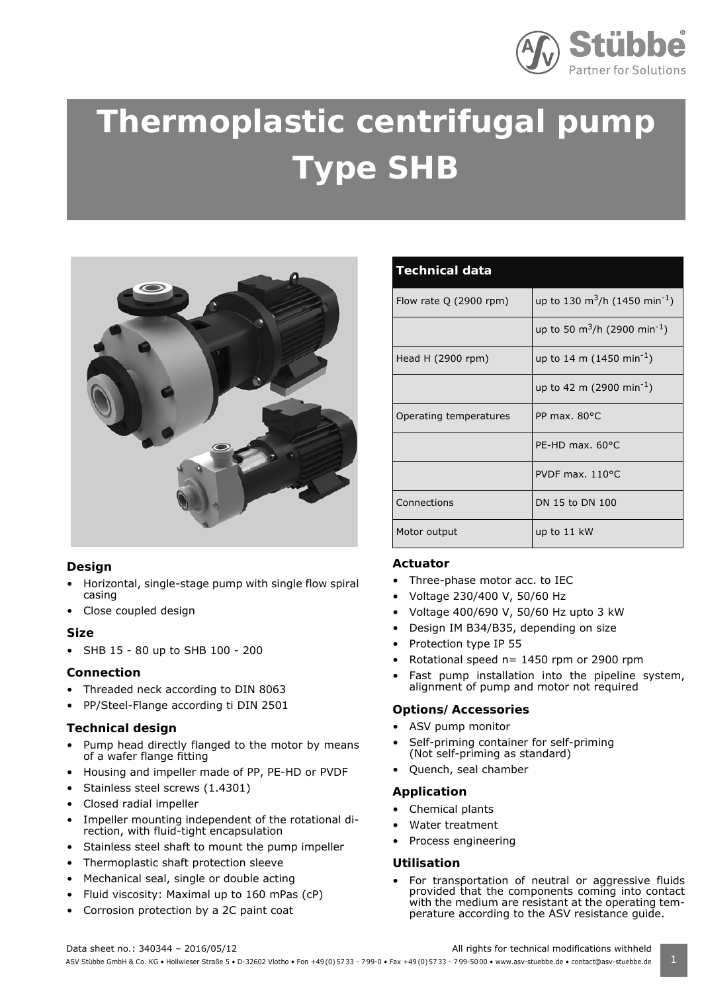

# **Thermoplastic centrifugal pump Type SHB**



# **Design**

- Horizontal, single-stage pump with single flow spiral casing
- Close coupled design

# **Size**

• SHB 15 - 80 up to SHB 100 - 200

# **Connection**

- Threaded neck according to DIN 8063
- PP/Steel-Flange according ti DIN 2501

# **Technical design**

- Pump head directly flanged to the motor by means of a wafer flange fitting
- Housing and impeller made of PP, PE-HD or PVDF
- Stainless steel screws (1.4301)
- Closed radial impeller
- Impeller mounting independent of the rotational direction, with fluid-tight encapsulation
- Stainless steel shaft to mount the pump impeller
- Thermoplastic shaft protection sleeve
- Mechanical seal, single or double acting
- Fluid viscosity: Maximal up to 160 mPas (cP)
- Corrosion protection by a 2C paint coat

| <b>Technical data</b>   |                                                       |
|-------------------------|-------------------------------------------------------|
| Flow rate $Q(2900$ rpm) | up to 130 m <sup>3</sup> /h (1450 min <sup>-1</sup> ) |
|                         | up to 50 m <sup>3</sup> /h (2900 min <sup>-1</sup> )  |
| Head H (2900 rpm)       | up to 14 m (1450 min <sup>-1</sup> )                  |
|                         | up to 42 m (2900 min <sup>-1</sup> )                  |
| Operating temperatures  | PP max. $80^{\circ}$ C                                |
|                         | PE-HD max. 60°C                                       |
|                         | PVDF max. 110°C                                       |
| Connections             | DN 15 to DN 100                                       |
| Motor output            | up to 11 kW                                           |

#### **Actuator**

- Three-phase motor acc. to IEC
- Voltage 230/400 V, 50/60 Hz
- Voltage 400/690 V, 50/60 Hz upto 3 kW
- Design IM B34/B35, depending on size
- Protection type IP 55
- Rotational speed  $n= 1450$  rpm or 2900 rpm
- Fast pump installation into the pipeline system, alignment of pump and motor not required

#### **Options/Accessories**

- ASV pump monitor
- Self-priming container for self-priming (Not self-priming as standard)
- Quench, seal chamber

#### **Application**

- Chemical plants
- Water treatment
- Process engineering

#### **Utilisation**

- For transportation of neutral or aggressive fluids provided that the components coming into contact with the medium are resistant at the operating temperature according to the ASV resistance guide.
- Data sheet no.: 340344 2016/05/12 All rights for technical modifications withheld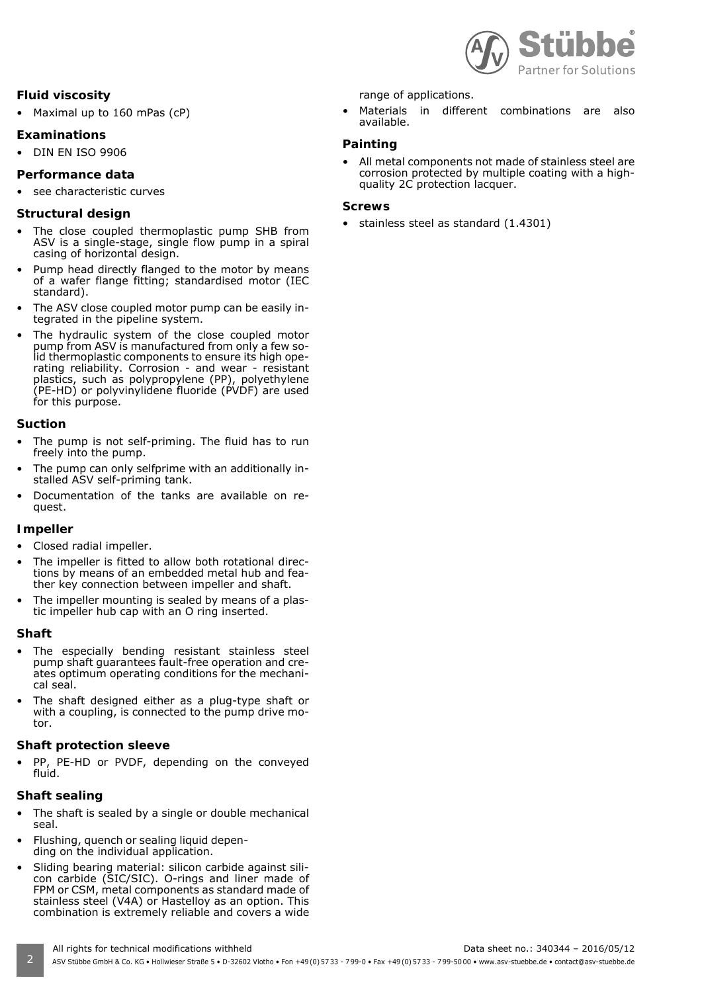

# **Fluid viscosity**

• Maximal up to 160 mPas (cP)

## **Examinations**

• DIN EN ISO 9906

# **Performance data**

see characteristic curves

## **Structural design**

- The close coupled thermoplastic pump SHB from ASV is a single-stage, single flow pump in a spiral casing of horizontal design.
- Pump head directly flanged to the motor by means of a wafer flange fitting; standardised motor (IEC standard).
- The ASV close coupled motor pump can be easily integrated in the pipeline system.
- The hydraulic system of the close coupled motor pump from ASV is manufactured from only a few solid thermoplastic components to ensure its high operating reliability. Corrosion - and wear - resistant plastics, such as polypropylene (PP), polyethylene (PE-HD) or polyvinylidene fluoride (PVDF) are used for this purpose.

#### **Suction**

- The pump is not self-priming. The fluid has to run freely into the pump.
- The pump can only selfprime with an additionally installed ASV self-priming tank.
- Documentation of the tanks are available on request.

#### **Impeller**

- Closed radial impeller.
- The impeller is fitted to allow both rotational directions by means of an embedded metal hub and feather key connection between impeller and shaft.
- The impeller mounting is sealed by means of a plastic impeller hub cap with an O ring inserted.

#### **Shaft**

- The especially bending resistant stainless steel pump shaft guarantees fault-free operation and creates optimum operating conditions for the mechanical seal.
- The shaft designed either as a plug-type shaft or with a coupling, is connected to the pump drive motor.

# **Shaft protection sleeve**

• PP, PE-HD or PVDF, depending on the conveyed fluid.

# **Shaft sealing**

- The shaft is sealed by a single or double mechanical seal.
- Flushing, quench or sealing liquid depending on the individual application.
- Sliding bearing material: silicon carbide against silicon carbide (SIC/SIC). O-rings and liner made of FPM or CSM, metal components as standard made of stainless steel (V4A) or Hastelloy as an option. This combination is extremely reliable and covers a wide

range of applications.

• Materials in different combinations are also available.

#### **Painting**

All metal components not made of stainless steel are corrosion protected by multiple coating with a highquality 2C protection lacquer.

#### **Screws**

• stainless steel as standard (1.4301)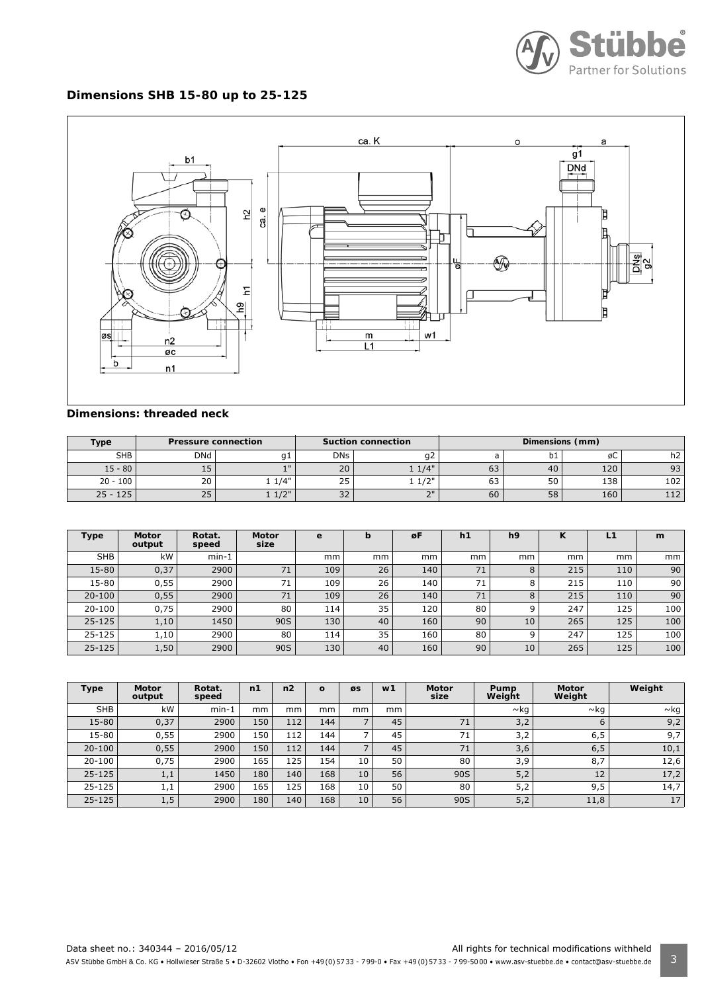

# **Dimensions SHB 15-80 up to 25-125**



#### **Dimensions: threaded neck**

| <b>Type</b> | <b>Pressure connection</b> |           |                      | <b>Suction connection</b> | Dimensions (mm) |     |     |     |  |  |
|-------------|----------------------------|-----------|----------------------|---------------------------|-----------------|-----|-----|-----|--|--|
| <b>SHB</b>  | <b>DNd</b>                 | q1        | <b>DNs</b>           | g∠                        |                 | ັບ⊥ | øС  | h2  |  |  |
| $15 - 80$   | IJ                         | $-1$ II   | 20                   | $1/4$ "                   | כס              | 40  | 120 | 93  |  |  |
| $20 - 100$  | 20                         | 1/4"      | ت ک                  | 121                       | $\sim$<br>ບວ    | υU  | 138 | 102 |  |  |
| $25 - 125$  | 25                         | 1/2"<br>- | $\sim$ $\sim$<br>3Z. | $\neg$                    | 60              | 58  | 160 | 112 |  |  |

| <b>Type</b> | <b>Motor</b><br>output | Rotat.<br>speed | <b>Motor</b><br>size | e   | b  | øF  | h1 | h <sub>9</sub> | $\mathbf{z}$<br>K. | L <sub>1</sub> | m   |
|-------------|------------------------|-----------------|----------------------|-----|----|-----|----|----------------|--------------------|----------------|-----|
| <b>SHB</b>  | kW                     | $min-1$         |                      | mm  | mm | mm  | mm | mm             | mm                 | mm             | mm  |
| 15-80       | 0,37                   | 2900            | 71                   | 109 | 26 | 140 | 71 | 8              | 215                | 110            | 90  |
| 15-80       | 0,55                   | 2900            | 71                   | 109 | 26 | 140 | 71 | 8              | 215                | 110            | 90  |
| $20 - 100$  | 0,55                   | 2900            | 71                   | 109 | 26 | 140 | 71 | 8              | 215                | 110            | 90  |
| $20 - 100$  | 0,75                   | 2900            | 80                   | 114 | 35 | 120 | 80 | 9              | 247                | 125            | 100 |
| $25 - 125$  | 1,10                   | 1450            | 90S                  | 130 | 40 | 160 | 90 | 10             | 265                | 125            | 100 |
| $25 - 125$  | 1,10                   | 2900            | 80                   | 114 | 35 | 160 | 80 | 9              | 247                | 125            | 100 |
| $25 - 125$  | 1,50                   | 2900            | 90S                  | 130 | 40 | 160 | 90 | 10             | 265                | 125            | 100 |

| <b>Type</b> | <b>Motor</b><br>output | Rotat.<br>speed | n1  | n <sub>2</sub> | $\Omega$ | ØS | w1 | <b>Motor</b><br>size | Pump<br>Weight | <b>Motor</b><br>Weight | Weight    |
|-------------|------------------------|-----------------|-----|----------------|----------|----|----|----------------------|----------------|------------------------|-----------|
| <b>SHB</b>  | kW                     | $min-1$         | mm  | mm             | mm       | mm | mm |                      | ∼kq            | $\sim$ kg              | $\sim$ kg |
| 15-80       | 0,37                   | 2900            | 150 | 112            | 144      | -  | 45 | 71                   | 3,2            | 6                      | 9,2       |
| 15-80       | 0,55                   | 2900            | 150 | 112            | 144      |    | 45 | 71                   | 3,2            | 6,5                    | 9,7       |
| $20 - 100$  | 0,55                   | 2900            | 150 | 112            | 144      |    | 45 | 71                   | 3,6            | 6, 5                   | 10,1      |
| 20-100      | 0,75                   | 2900            | 165 | 125            | 154      | 10 | 50 | 80                   | 3,9            | 8,7                    | 12,6      |
| $25 - 125$  | 1,1                    | 1450            | 180 | 140            | 168      | 10 | 56 | 90S                  | 5,2            | 12                     | 17,2      |
| $25 - 125$  | 1,1                    | 2900            | 165 | 125            | 168      | 10 | 50 | 80                   | 5,2            | 9,5                    | 14,7      |
| 25-125      | 1,5                    | 2900            | 180 | 140            | 168      | 10 | 56 | 90S                  | 5,2            | 11,8                   | 17        |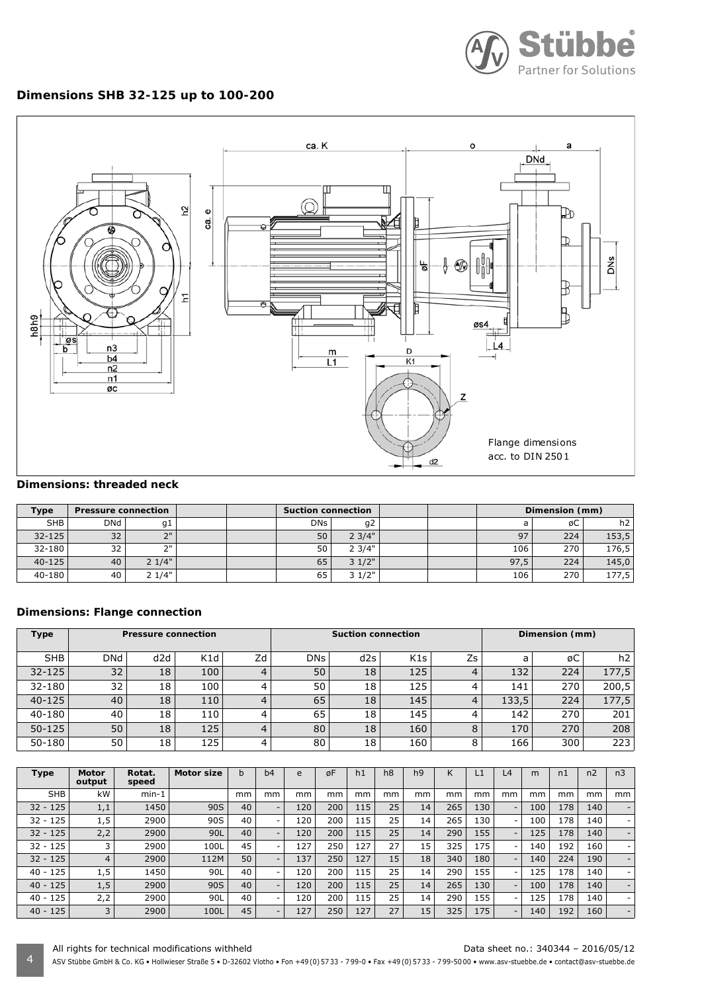

# **Dimensions SHB 32-125 up to 100-200**



# **Dimensions: threaded neck**

| <b>Type</b> | <b>Pressure connection</b> |       | <b>Suction connection</b> |            |       |  | Dimension (mm) |     |                |
|-------------|----------------------------|-------|---------------------------|------------|-------|--|----------------|-----|----------------|
| <b>SHB</b>  | DNd                        | g1    |                           | <b>DNs</b> | g2    |  |                | øC  | h <sub>2</sub> |
| $32 - 125$  | 32                         | ייר   |                           | 50         | 23/4" |  | 97             | 224 | 153,5          |
| 32-180      | 32                         | ייר   |                           | 50         | 23/4" |  | 106            | 270 | 176,5          |
| $40 - 125$  | 40                         | 21/4" |                           | 65         | 31/2" |  | 97.5           | 224 | 145,0          |
| 40-180      | 40                         | 21/4" |                           | 65         | 31/2" |  | 106            | 270 | 177,5          |

## **Dimensions: Flange connection**

| <b>Type</b> |            | <b>Pressure connection</b> |     |    |            | <b>Suction connection</b> |     | Dimension (mm) |       |     |       |
|-------------|------------|----------------------------|-----|----|------------|---------------------------|-----|----------------|-------|-----|-------|
| <b>SHB</b>  | <b>DNd</b> | d2d                        | K1d | Zd | <b>DNs</b> | d2s                       | K1s | Zs             | a     | øС  | h2 l  |
| $32 - 125$  | 32         | 18                         | 100 |    | 50         | 18                        | 125 | 4              | 132   | 224 | 177,5 |
| 32-180      | 32         | 18                         | 100 |    | 50         | 18                        | 125 |                | 141   | 270 | 200,5 |
| $40 - 125$  | 40         | 18                         | 110 |    | 65         | 18                        | 145 | 4              | 133,5 | 224 | 177,5 |
| 40-180      | 40         | 18                         | 110 | 4  | 65         | 18                        | 145 |                | 142   | 270 | 201   |
| $50 - 125$  | 50         | 18                         | 125 |    | 80         | 18                        | 160 |                | 170   | 270 | 208   |
| 50-180      | 50         | 18                         | 125 | 4  | 80         | 18                        | 160 |                | 166   | 300 | 223   |

| <b>Type</b> | <b>Motor</b><br>output | Rotat.<br>speed | <b>Motor size</b> | b  | b4                       | e   | øF  | h1  | h <sub>8</sub> | h <sub>9</sub> | K   | $\mathsf{L}1$ | L <sub>4</sub>           | m   | n1  | n <sub>2</sub> | n <sub>3</sub>           |
|-------------|------------------------|-----------------|-------------------|----|--------------------------|-----|-----|-----|----------------|----------------|-----|---------------|--------------------------|-----|-----|----------------|--------------------------|
| <b>SHB</b>  | kW                     | $min-1$         |                   | mm | mm                       | mm  | mm  | mm  | mm             | mm             | mm  | mm            | mm                       | mm  | mm  | mm             | mm                       |
| $32 - 125$  | 1,1                    | 1450            | 90S               | 40 | $\sim$                   | 120 | 200 | 115 | 25             | 14             | 265 | 130           | ۰.                       | 100 | 178 | 140            | -                        |
| $32 - 125$  | 1,5                    | 2900            | 90S               | 40 | $\overline{\phantom{a}}$ | 120 | 200 | 115 | 25             | 14             | 265 | 130           | $\overline{\phantom{a}}$ | 100 | 178 | 140            | $\overline{\phantom{a}}$ |
| $32 - 125$  | 2,2                    | 2900            | 90L               | 40 |                          | 120 | 200 | 115 | 25             | 14             | 290 | 155           | Ξ.                       | 125 | 178 | 140            | -                        |
| $32 - 125$  | 3                      | 2900            | 100L              | 45 |                          | 127 | 250 | 127 | 27             | 15             | 325 | 175           | $\overline{\phantom{0}}$ | 140 | 192 | 160            | ۰.                       |
| $32 - 125$  | 4                      | 2900            | 112M              | 50 | $\overline{\phantom{0}}$ | 137 | 250 | 127 | 15             | 18             | 340 | 180           | ۰.                       | 140 | 224 | 190            | $\overline{\phantom{0}}$ |
| $40 - 125$  | 1,5                    | 1450            | 90L               | 40 |                          | 120 | 200 | 115 | 25             | 14             | 290 | 155           | $\overline{\phantom{0}}$ | 125 | 178 | 140            | $\overline{\phantom{a}}$ |
| $40 - 125$  | 1,5                    | 2900            | 90S               | 40 | $\overline{\phantom{0}}$ | 120 | 200 | 115 | 25             | 14             | 265 | 130           | ۰.                       | 100 | 178 | 140            | ۰.                       |
| $40 - 125$  | 2,2                    | 2900            | 90L               | 40 | $\overline{\phantom{a}}$ | 120 | 200 | 115 | 25             | 14             | 290 | 155           | $\overline{\phantom{0}}$ | 125 | 178 | 140            | ۰                        |
| $40 - 125$  | 3                      | 2900            | 100L              | 45 | <b>COLUM</b>             | 127 | 250 | 127 | 27             | 15             | 325 | 175           | ۰.                       | 140 | 192 | 160            | ۰.                       |

4 ASV Stübbe GmbH & Co. KG • Hollwieser Straße 5 • D-32602 Vlotho • Fon +49 (0) 57 33 - 7 99-0 • Fax +49 (0) 57 33 - 7 99-50 00 • www.asv-stuebbe.de • contact@asv-stuebbe.de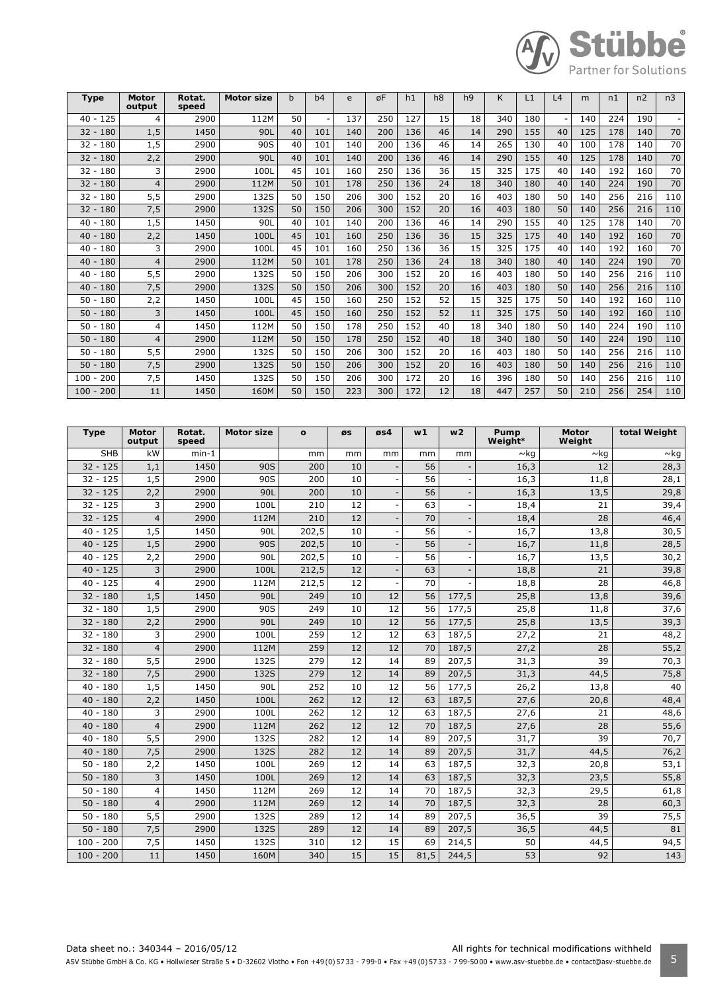

| <b>Type</b>    | <b>Motor</b><br>output | Rotat.<br>speed | Motor size | b  | b4  | e   | øF  | h1  | h8 | h <sub>9</sub> | K   | L1  | L4     | m   | n1  | n2  | n <sub>3</sub> |
|----------------|------------------------|-----------------|------------|----|-----|-----|-----|-----|----|----------------|-----|-----|--------|-----|-----|-----|----------------|
| 125<br>$40 -$  | 4                      | 2900            | 112M       | 50 |     | 137 | 250 | 127 | 15 | 18             | 340 | 180 | $\sim$ | 140 | 224 | 190 | ٠              |
| $32 -$<br>180  | 1,5                    | 1450            | 90L        | 40 | 101 | 140 | 200 | 136 | 46 | 14             | 290 | 155 | 40     | 125 | 178 | 140 | 70             |
| 32 - 180       | 1,5                    | 2900            | 90S        | 40 | 101 | 140 | 200 | 136 | 46 | 14             | 265 | 130 | 40     | 100 | 178 | 140 | 70             |
| $32 - 180$     | 2,2                    | 2900            | 90L        | 40 | 101 | 140 | 200 | 136 | 46 | 14             | 290 | 155 | 40     | 125 | 178 | 140 | 70             |
| 32 -<br>180    | 3                      | 2900            | 100L       | 45 | 101 | 160 | 250 | 136 | 36 | 15             | 325 | 175 | 40     | 140 | 192 | 160 | 70             |
| $32 - 180$     | $\overline{4}$         | 2900            | 112M       | 50 | 101 | 178 | 250 | 136 | 24 | 18             | 340 | 180 | 40     | 140 | 224 | 190 | 70             |
| 32 - 180       | 5,5                    | 2900            | 132S       | 50 | 150 | 206 | 300 | 152 | 20 | 16             | 403 | 180 | 50     | 140 | 256 | 216 | 110            |
| $32 - 180$     | 7,5                    | 2900            | 132S       | 50 | 150 | 206 | 300 | 152 | 20 | 16             | 403 | 180 | 50     | 140 | 256 | 216 | 110            |
| 180<br>$40 -$  | 1,5                    | 1450            | 90L        | 40 | 101 | 140 | 200 | 136 | 46 | 14             | 290 | 155 | 40     | 125 | 178 | 140 | 70             |
| $40 -$<br>180  | 2,2                    | 1450            | 100L       | 45 | 101 | 160 | 250 | 136 | 36 | 15             | 325 | 175 | 40     | 140 | 192 | 160 | 70             |
| 180<br>$40 -$  | 3                      | 2900            | 100L       | 45 | 101 | 160 | 250 | 136 | 36 | 15             | 325 | 175 | 40     | 140 | 192 | 160 | 70             |
| $40 - 180$     | $\overline{4}$         | 2900            | 112M       | 50 | 101 | 178 | 250 | 136 | 24 | 18             | 340 | 180 | 40     | 140 | 224 | 190 | 70             |
| $40 -$<br>180  | 5, 5                   | 2900            | 132S       | 50 | 150 | 206 | 300 | 152 | 20 | 16             | 403 | 180 | 50     | 140 | 256 | 216 | 110            |
| $40 - 180$     | 7,5                    | 2900            | 132S       | 50 | 150 | 206 | 300 | 152 | 20 | 16             | 403 | 180 | 50     | 140 | 256 | 216 | 110            |
| $50 - 180$     | 2,2                    | 1450            | 100L       | 45 | 150 | 160 | 250 | 152 | 52 | 15             | 325 | 175 | 50     | 140 | 192 | 160 | 110            |
| $50 - 180$     | 3                      | 1450            | 100L       | 45 | 150 | 160 | 250 | 152 | 52 | 11             | 325 | 175 | 50     | 140 | 192 | 160 | 110            |
| $50 - 180$     | 4                      | 1450            | 112M       | 50 | 150 | 178 | 250 | 152 | 40 | 18             | 340 | 180 | 50     | 140 | 224 | 190 | 110            |
| $50 - 180$     | 4                      | 2900            | 112M       | 50 | 150 | 178 | 250 | 152 | 40 | 18             | 340 | 180 | 50     | 140 | 224 | 190 | 110            |
| 180<br>$50 -$  | 5,5                    | 2900            | 132S       | 50 | 150 | 206 | 300 | 152 | 20 | 16             | 403 | 180 | 50     | 140 | 256 | 216 | 110            |
| $50 -$<br>180  | 7,5                    | 2900            | 132S       | 50 | 150 | 206 | 300 | 152 | 20 | 16             | 403 | 180 | 50     | 140 | 256 | 216 | 110            |
| 200<br>$100 -$ | 7,5                    | 1450            | 132S       | 50 | 150 | 206 | 300 | 172 | 20 | 16             | 396 | 180 | 50     | 140 | 256 | 216 | 110            |
| $100 - 200$    | 11                     | 1450            | 160M       | 50 | 150 | 223 | 300 | 172 | 12 | 18             | 447 | 257 | 50     | 210 | 256 | 254 | 110            |

| <b>Type</b> | <b>Motor</b><br>output | Rotat.<br>speed | <b>Motor size</b> | $\Omega$ | ØS | øs4 | w1   | w <sub>2</sub> | Pump<br>Weight* | Motor<br>Weight | total Weight |
|-------------|------------------------|-----------------|-------------------|----------|----|-----|------|----------------|-----------------|-----------------|--------------|
| <b>SHB</b>  | kW                     | $min-1$         |                   | mm       | mm | mm  | mm   | mm             | $\sim$ kg       | $\sim$ kg       | $\sim$ kg    |
| $32 - 125$  | 1,1                    | 1450            | 90S               | 200      | 10 |     | 56   |                | 16,3            | 12              | 28,3         |
| $32 - 125$  | 1,5                    | 2900            | 90S               | 200      | 10 | ÷   | 56   |                | 16,3            | 11,8            | 28,1         |
| $32 - 125$  | 2,2                    | 2900            | 90L               | 200      | 10 |     | 56   |                | 16,3            | 13,5            | 29,8         |
| $32 - 125$  | 3                      | 2900            | 100L              | 210      | 12 | ÷,  | 63   |                | 18,4            | 21              | 39,4         |
| $32 - 125$  | $\overline{4}$         | 2900            | 112M              | 210      | 12 |     | 70   |                | 18,4            | 28              | 46,4         |
| $40 - 125$  | 1,5                    | 1450            | 90L               | 202,5    | 10 |     | 56   |                | 16,7            | 13,8            | 30,5         |
| $40 - 125$  | 1,5                    | 2900            | 90S               | 202,5    | 10 |     | 56   |                | 16,7            | 11,8            | 28,5         |
| $40 - 125$  | 2,2                    | 2900            | <b>90L</b>        | 202,5    | 10 |     | 56   |                | 16,7            | 13,5            | 30,2         |
| $40 - 125$  | 3                      | 2900            | 100L              | 212,5    | 12 |     | 63   |                | 18,8            | 21              | 39,8         |
| $40 - 125$  | $\overline{4}$         | 2900            | 112M              | 212,5    | 12 |     | 70   |                | 18,8            | 28              | 46,8         |
| $32 - 180$  | 1,5                    | 1450            | 90L               | 249      | 10 | 12  | 56   | 177,5          | 25,8            | 13,8            | 39,6         |
| $32 - 180$  | 1,5                    | 2900            | 90S               | 249      | 10 | 12  | 56   | 177,5          | 25,8            | 11,8            | 37,6         |
| $32 - 180$  | 2,2                    | 2900            | 90L               | 249      | 10 | 12  | 56   | 177,5          | 25,8            | 13,5            | 39,3         |
| $32 - 180$  | 3                      | 2900            | 100L              | 259      | 12 | 12  | 63   | 187,5          | 27,2            | 21              | 48,2         |
| $32 - 180$  | $\overline{4}$         | 2900            | 112M              | 259      | 12 | 12  | 70   | 187,5          | 27,2            | 28              | 55,2         |
| $32 - 180$  | 5,5                    | 2900            | 132S              | 279      | 12 | 14  | 89   | 207,5          | 31,3            | 39              | 70,3         |
| $32 - 180$  | 7,5                    | 2900            | 132S              | 279      | 12 | 14  | 89   | 207,5          | 31,3            | 44,5            | 75,8         |
| $40 - 180$  | 1, 5                   | 1450            | 90L               | 252      | 10 | 12  | 56   | 177,5          | 26,2            | 13,8            | 40           |
| $40 - 180$  | 2,2                    | 1450            | 100L              | 262      | 12 | 12  | 63   | 187,5          | 27,6            | 20,8            | 48,4         |
| $40 - 180$  | 3                      | 2900            | 100L              | 262      | 12 | 12  | 63   | 187,5          | 27,6            | 21              | 48,6         |
| $40 - 180$  | $\overline{4}$         | 2900            | 112M              | 262      | 12 | 12  | 70   | 187,5          | 27,6            | 28              | 55,6         |
| $40 - 180$  | 5, 5                   | 2900            | 132S              | 282      | 12 | 14  | 89   | 207,5          | 31,7            | 39              | 70,7         |
| $40 - 180$  | 7,5                    | 2900            | 132S              | 282      | 12 | 14  | 89   | 207,5          | 31,7            | 44,5            | 76,2         |
| $50 - 180$  | 2,2                    | 1450            | 100L              | 269      | 12 | 14  | 63   | 187,5          | 32,3            | 20,8            | 53,1         |
| $50 - 180$  | 3                      | 1450            | 100L              | 269      | 12 | 14  | 63   | 187,5          | 32,3            | 23,5            | 55,8         |
| $50 - 180$  | $\overline{4}$         | 1450            | 112M              | 269      | 12 | 14  | 70   | 187,5          | 32,3            | 29,5            | 61,8         |
| $50 - 180$  | $\overline{4}$         | 2900            | 112M              | 269      | 12 | 14  | 70   | 187,5          | 32,3            | 28              | 60,3         |
| $50 - 180$  | 5, 5                   | 2900            | 132S              | 289      | 12 | 14  | 89   | 207,5          | 36,5            | 39              | 75,5         |
| $50 - 180$  | 7,5                    | 2900            | 132S              | 289      | 12 | 14  | 89   | 207,5          | 36,5            | 44,5            | 81           |
| $100 - 200$ | 7,5                    | 1450            | 132S              | 310      | 12 | 15  | 69   | 214,5          | 50              | 44,5            | 94,5         |
| $100 - 200$ | 11                     | 1450            | 160M              | 340      | 15 | 15  | 81,5 | 244,5          | 53              | 92              | 143          |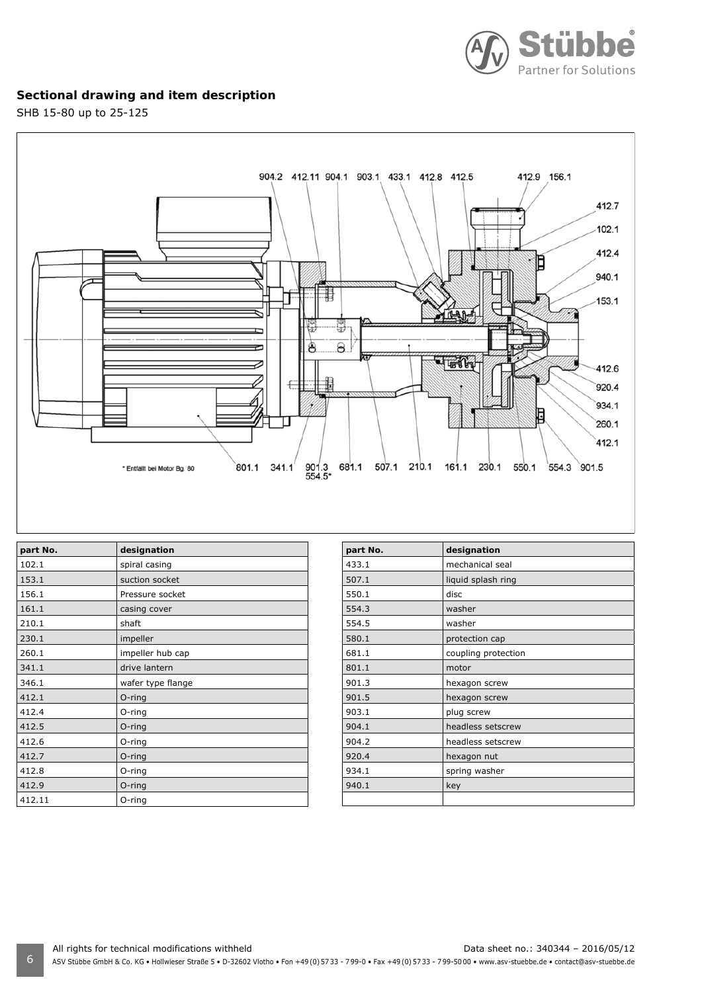

# **Sectional drawing and item description**

SHB 15-80 up to 25-125



| part No. | designation       |
|----------|-------------------|
| 102.1    | spiral casing     |
| 153.1    | suction socket    |
| 156.1    | Pressure socket   |
| 161.1    | casing cover      |
| 210.1    | shaft             |
| 230.1    | impeller          |
| 260.1    | impeller hub cap  |
| 341.1    | drive lantern     |
| 346.1    | wafer type flange |
| 412.1    | $O$ -ring         |
| 412.4    | O-ring            |
| 412.5    | O-ring            |
| 412.6    | O-ring            |
| 412.7    | O-ring            |
| 412.8    | O-ring            |
| 412.9    | $O$ -ring         |
| 412.11   | O-ring            |

| part No. | designation         |
|----------|---------------------|
| 433.1    | mechanical seal     |
| 507.1    | liquid splash ring  |
| 550.1    | disc                |
| 554.3    | washer              |
| 554.5    | washer              |
| 580.1    | protection cap      |
| 681.1    | coupling protection |
| 801.1    | motor               |
| 901.3    | hexagon screw       |
| 901.5    | hexagon screw       |
| 903.1    | plug screw          |
| 904.1    | headless setscrew   |
| 904.2    | headless setscrew   |
| 920.4    | hexagon nut         |
| 934.1    | spring washer       |
| 940.1    | key                 |
|          |                     |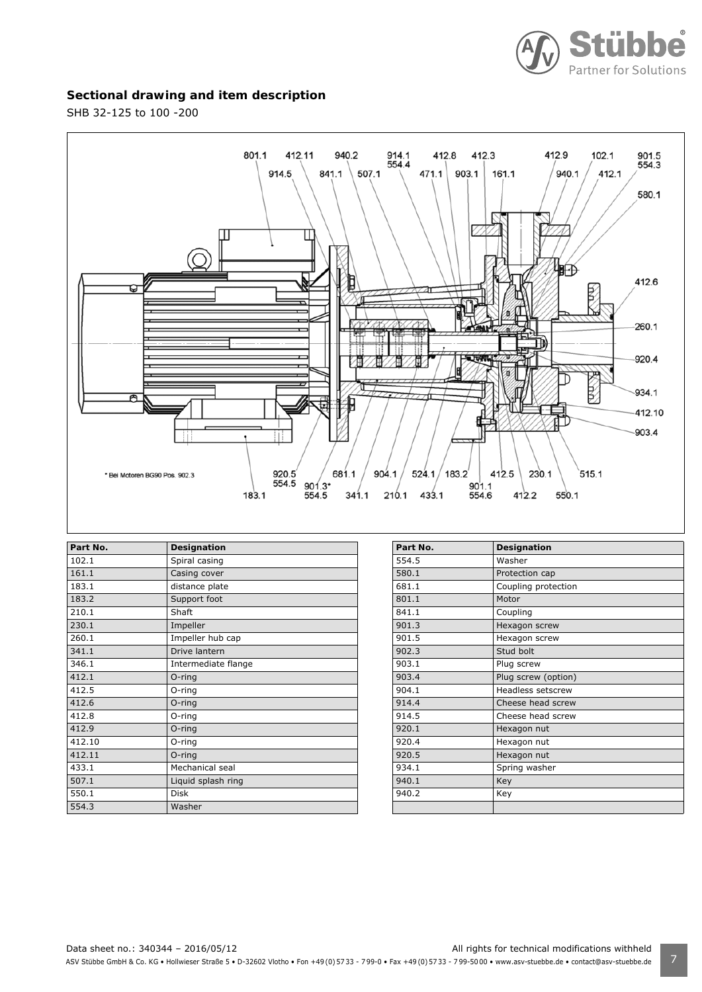

## **Sectional drawing and item description**

SHB 32-125 to 100 -200



| Part No. | Designation         |
|----------|---------------------|
| 102.1    | Spiral casing       |
| 161.1    | Casing cover        |
| 183.1    | distance plate      |
| 183.2    | Support foot        |
| 210.1    | Shaft               |
| 230.1    | Impeller            |
| 260.1    | Impeller hub cap    |
| 341.1    | Drive lantern       |
| 346.1    | Intermediate flange |
| 412.1    | $O$ -ring           |
| 412.5    | $O$ -ring           |
| 412.6    | $O$ -ring           |
| 412.8    | O-ring              |
| 412.9    | O-ring              |
| 412.10   | O-ring              |
| 412.11   | $O$ -ring           |
| 433.1    | Mechanical seal     |
| 507.1    | Liquid splash ring  |
| 550.1    | <b>Disk</b>         |
| 554.3    | Washer              |

| Part No. | Designation              |
|----------|--------------------------|
| 554.5    | Washer                   |
| 580.1    | Protection cap           |
| 681.1    | Coupling protection      |
| 801.1    | Motor                    |
| 841.1    | Coupling                 |
| 901.3    | Hexagon screw            |
| 901.5    | Hexagon screw            |
| 902.3    | Stud bolt                |
| 903.1    | Plug screw               |
| 903.4    | Plug screw (option)      |
| 904.1    | <b>Headless setscrew</b> |
| 914.4    | Cheese head screw        |
| 914.5    | Cheese head screw        |
| 920.1    | Hexagon nut              |
| 920.4    | Hexagon nut              |
| 920.5    | Hexagon nut              |
| 934.1    | Spring washer            |
| 940.1    | Key                      |
| 940.2    | Key                      |
|          |                          |